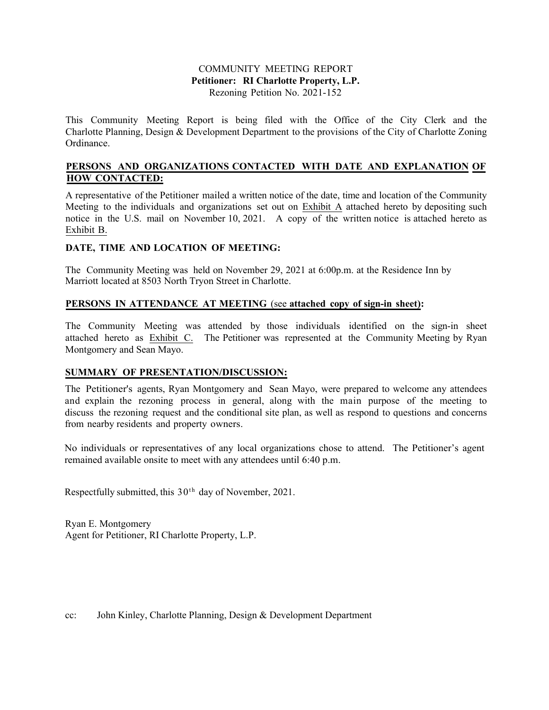## COMMUNITY MEETING REPORT **Petitioner: RI Charlotte Property, L.P.** Rezoning Petition No. 2021-152

This Community Meeting Report is being filed with the Office of the City Clerk and the Charlotte Planning, Design & Development Department to the provisions of the City of Charlotte Zoning Ordinance.

## **PERSONS AND ORGANIZATIONS CONTACTED WITH DATE AND EXPLANATION OF HOW CONTACTED:**

A representative of the Petitioner mailed a written notice of the date, time and location of the Community Meeting to the individuals and organizations set out on Exhibit A attached hereto by depositing such notice in the U.S. mail on November 10, 2021. A copy of the written notice is attached hereto as Exhibit B.

## **DATE, TIME AND LOCATION OF MEETING:**

The Community Meeting was held on November 29, 2021 at 6:00p.m. at the Residence Inn by Marriott located at 8503 North Tryon Street in Charlotte.

## **PERSONS IN ATTENDANCE AT MEETING** (see **attached copy of sign-in sheet):**

The Community Meeting was attended by those individuals identified on the sign-in sheet attached hereto as Exhibit C. The Petitioner was represented at the Community Meeting by Ryan Montgomery and Sean Mayo.

## **SUMMARY OF PRESENTATION/DISCUSSION:**

The Petitioner's agents, Ryan Montgomery and Sean Mayo, were prepared to welcome any attendees and explain the rezoning process in general, along with the main purpose of the meeting to discuss the rezoning request and the conditional site plan, as well as respond to questions and concerns from nearby residents and property owners.

No individuals or representatives of any local organizations chose to attend. The Petitioner's agent remained available onsite to meet with any attendees until 6:40 p.m.

Respectfully submitted, this 30<sup>th</sup> day of November, 2021.

Ryan E. Montgomery Agent for Petitioner, RI Charlotte Property, L.P.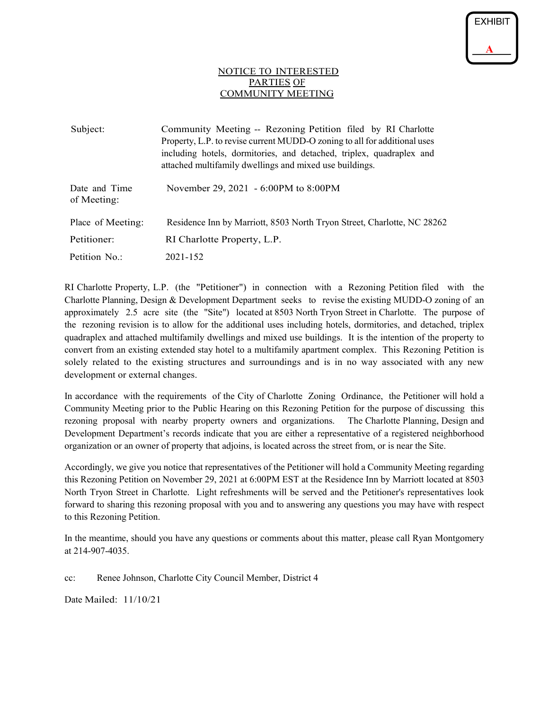## NOTICE TO INTERESTED PARTIES OF COMMUNITY MEETING

| Subject:                     | Community Meeting -- Rezoning Petition filed by RI Charlotte<br>Property, L.P. to revise current MUDD-O zoning to all for additional uses<br>including hotels, dormitories, and detached, triplex, quadraplex and<br>attached multifamily dwellings and mixed use buildings. |
|------------------------------|------------------------------------------------------------------------------------------------------------------------------------------------------------------------------------------------------------------------------------------------------------------------------|
| Date and Time<br>of Meeting: | November 29, 2021 - 6:00PM to 8:00PM                                                                                                                                                                                                                                         |
| Place of Meeting:            | Residence Inn by Marriott, 8503 North Tryon Street, Charlotte, NC 28262                                                                                                                                                                                                      |
| Petitioner:                  | RI Charlotte Property, L.P.                                                                                                                                                                                                                                                  |
| Petition No.:                | 2021-152                                                                                                                                                                                                                                                                     |

RI Charlotte Property, L.P. (the "Petitioner") in connection with a Rezoning Petition filed with the Charlotte Planning, Design & Development Department seeks to revise the existing MUDD-O zoning of an approximately 2.5 acre site (the "Site") located at 8503 North Tryon Street in Charlotte. The purpose of the rezoning revision is to allow for the additional uses including hotels, dormitories, and detached, triplex quadraplex and attached multifamily dwellings and mixed use buildings. It is the intention of the property to convert from an existing extended stay hotel to a multifamily apartment complex. This Rezoning Petition is solely related to the existing structures and surroundings and is in no way associated with any new development or external changes.

In accordance with the requirements of the City of Charlotte Zoning Ordinance, the Petitioner will hold a Community Meeting prior to the Public Hearing on this Rezoning Petition for the purpose of discussing this rezoning proposal with nearby property owners and organizations. The Charlotte Planning, Design and Development Department's records indicate that you are either a representative of a registered neighborhood organization or an owner of property that adjoins, is located across the street from, or is near the Site.

Accordingly, we give you notice that representatives of the Petitioner will hold a Community Meeting regarding this Rezoning Petition on November 29, 2021 at 6:00PM EST at the Residence Inn by Marriott located at 8503 North Tryon Street in Charlotte. Light refreshments will be served and the Petitioner's representatives look forward to sharing this rezoning proposal with you and to answering any questions you may have with respect to this Rezoning Petition.

In the meantime, should you have any questions or comments about this matter, please call Ryan Montgomery at 214-907-4035.

cc: Renee Johnson, Charlotte City Council Member, District 4

Date Mailed: 11/10/21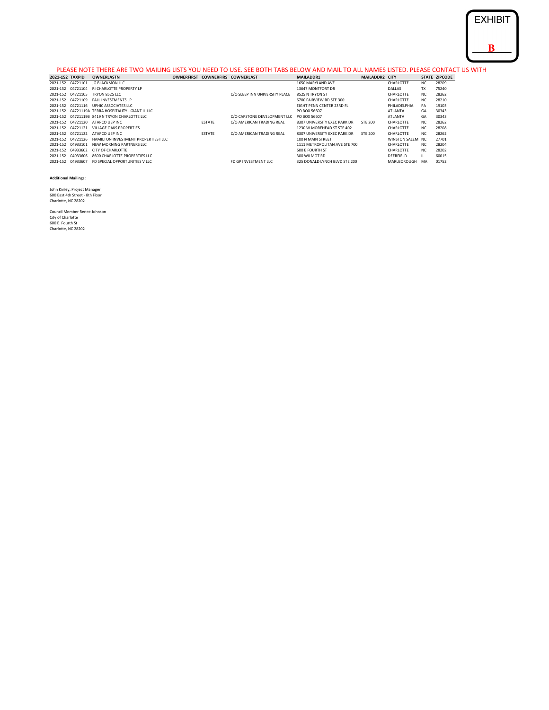## **B**

# PLEASE NOTE THERE ARE TWO MAILING LISTS YOU NEED TO USE. SEE BOTH TABS BELOW AND MAIL TO ALL NAMES LISTED. PLEASE CONTACT US WITH

| 2021-152 TAXPID |                   | <b>OWNERLASTN</b>                                   | <b>OWNERFIRST</b> | <b>COWNERFIRS COWNERLAST</b> |                                | <b>MAILADDR1</b>              | MAILADDR2 CITY |                  |                | <b>STATE ZIPCODE</b> |
|-----------------|-------------------|-----------------------------------------------------|-------------------|------------------------------|--------------------------------|-------------------------------|----------------|------------------|----------------|----------------------|
|                 | 2021-152 04721101 | IG BLACKMON LLC                                     |                   |                              |                                | 1650 MARYLAND AVE             |                | CHARLOTTE        | <b>NC</b>      | 28209                |
| 2021-152        | 04721104          | RI CHARLOTTE PROPERTY LP                            |                   |                              |                                | 13647 MONTFORT DR             |                | <b>DALLAS</b>    | <b>TX</b>      | 75240                |
| 2021-152        | 04721105          | TRYON 8525 LLC                                      |                   |                              | C/O SLEEP INN UNIVERSITY PLACE | 8525 N TRYON ST               |                | CHARLOTTE        | N <sub>C</sub> | 28262                |
| 2021-152        | 04721109          | <b>FALL INVESTMENTS LP</b>                          |                   |                              |                                | 6700 FAIRVIEW RD STE 300      |                | CHARLOTTE        | NC.            | 28210                |
|                 |                   | 2021-152 04721116 UPHIC ASSOCIATES LLC              |                   |                              |                                | EIGHT PENN CENTER 23RD FL     |                | PHILADELPHIA     | PA             | 19103                |
|                 |                   | 2021-152 04721119A TERRA HOSPITALITY - GIANT II LLC |                   |                              |                                | PO BOX 56607                  |                | <b>ATLANTA</b>   | GA             | 30343                |
| 2021-152        |                   | 04721119B 8419 N TRYON CHARLOTTE LLC                |                   |                              | C/O CAPSTONE DEVELOPMENT LLC   | <b>PO BOX 56607</b>           |                | ATI ANTA         | GA             | 30343                |
|                 | 2021-152 04721120 | ATAPCO UEP INC                                      |                   | <b>ESTATE</b>                | C/O AMERICAN TRADING REAL      | 8307 UNIVERSITY EXEC PARK DR  | <b>STE 200</b> | CHARLOTTE        | NC.            | 28262                |
|                 | 2021-152 04721121 | VILLAGE OAKS PROPERTIES                             |                   |                              |                                | 1230 W MORFHEAD ST STF 402    |                | CHARLOTTE        | NC.            | 28208                |
|                 | 2021-152 04721122 | ATAPCO UFP INC.                                     |                   | <b>ESTATE</b>                | C/O AMERICAN TRADING REAL      | 8307 UNIVERSITY EXEC PARK DR  | <b>STE 200</b> | CHARLOTTE        | N <sub>C</sub> | 28262                |
| 2021-152        | 04721126          | HAMILTON INVESTMENT PROPERTIES I LLC                |                   |                              |                                | 100 N MAIN STREET             |                | WINSTON SALEM NC |                | 27701                |
| 2021-152        | 04933101          | NEW MORNING PARTNERS LLC                            |                   |                              |                                | 1111 METROPOLITAN AVE STE 700 |                | CHARLOTTE        | NC.            | 28204                |
| 2021-152        | 04933602          | CITY OF CHARLOTTE                                   |                   |                              |                                | <b>600 E FOURTH ST</b>        |                | CHARLOTTE        | NC.            | 28202                |
| 2021-152        | 04933606          | 8600 CHARLOTTE PROPERTIES LLC                       |                   |                              |                                | 300 WILMOT RD                 |                | DEERFIELD        | ш              | 60015                |
| 2021-152        | 04933607          | FD SPECIAL OPPORTUNITIES V LLC                      |                   |                              | ED GP INVESTMENT LLC.          | 325 DONALD LYNCH BLVD STE 200 |                | MARLBOROUGH      | MA             | 01752                |

#### **Additional Mailings:**

John Kinley, Project Manager 600 East 4th Street - 8th Floor Charlotte, NC 28202

Council Member Renee Johnson City of Charlotte 600 E. Fourth St Charlotte, NC 28202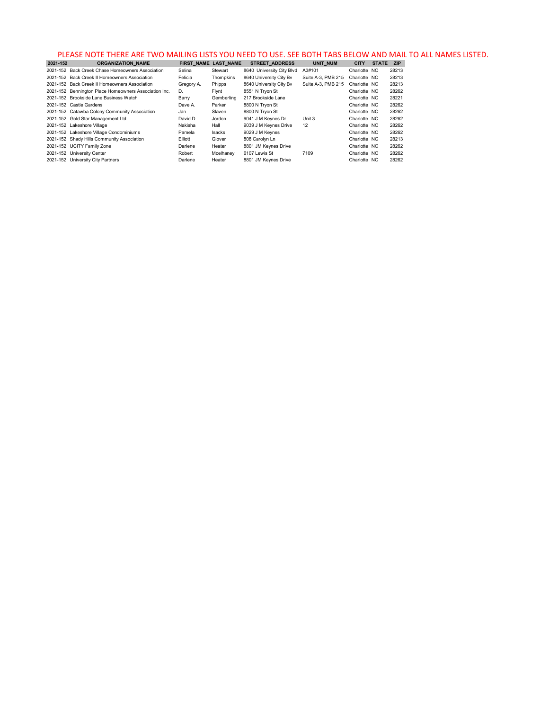#### PLEASE NOTE THERE ARE TWO MAILING LISTS YOU NEED TO USE. SEE BOTH TABS BELOW AND MAIL TO ALL NAMES LISTED.

| 2021-152 | <b>ORGANIZATION NAME</b>                              | FIRST NAME LAST NAME |            | <b>STREET ADDRESS</b>     | <b>UNIT NUM</b>    | <b>CITY</b>  | <b>STATE</b> | <b>ZIP</b> |
|----------|-------------------------------------------------------|----------------------|------------|---------------------------|--------------------|--------------|--------------|------------|
|          | 2021-152 Back Creek Chase Homeowners Association      | Selina               | Stewart    | 8640 University City Blyd | A3#101             | Charlotte NC |              | 28213      |
|          | 2021-152 Back Creek II Homeowners Association         | Felicia              | Thompkins  | 8640 University City Bv   | Suite A-3, PMB 215 | Charlotte NC |              | 28213      |
|          | 2021-152 Back Creek II Homeowners Association         | Gregory A.           | Phipps     | 8640 University City By   | Suite A-3, PMB 215 | Charlotte NC |              | 28213      |
|          | 2021-152 Bennington Place Homeowners Association Inc. | D.                   | Flynt      | 8551 N Tryon St           |                    | Charlotte NC |              | 28262      |
|          | 2021-152 Brookside Lane Business Watch                | Barry                | Gemberling | 217 Brookside Lane        |                    | Charlotte NC |              | 28221      |
|          | 2021-152 Castle Gardens                               | Dave A.              | Parker     | 8800 N Trvon St           |                    | Charlotte NC |              | 28262      |
|          | 2021-152 Catawba Colony Community Association         | Jan                  | Slaven     | 8800 N Trvon St           |                    | Charlotte NC |              | 28262      |
|          | 2021-152 Gold Star Management Ltd                     | David D.             | Jordon     | 9041 J M Kevnes Dr        | Unit 3             | Charlotte NC |              | 28262      |
|          | 2021-152 Lakeshore Village                            | Nakisha              | Hall       | 9039 J M Keynes Drive     | 12                 | Charlotte NC |              | 28262      |
|          | 2021-152 Lakeshore Village Condominiums               | Pamela               | Isacks     | 9029 J M Keynes           |                    | Charlotte NC |              | 28262      |
|          | 2021-152 Shady Hills Community Association            | Elliott              | Glover     | 808 Carolyn Ln            |                    | Charlotte NC |              | 28213      |
|          | 2021-152 UCITY Family Zone                            | Darlene              | Heater     | 8801 JM Keynes Drive      |                    | Charlotte NC |              | 28262      |
|          | 2021-152 University Center                            | Robert               | Mcelhanev  | 6107 Lewis St             | 7109               | Charlotte NC |              | 28262      |
|          | 2021-152 University City Partners                     | Darlene              | Heater     | 8801 JM Kevnes Drive      |                    | Charlotte NC |              | 28262      |